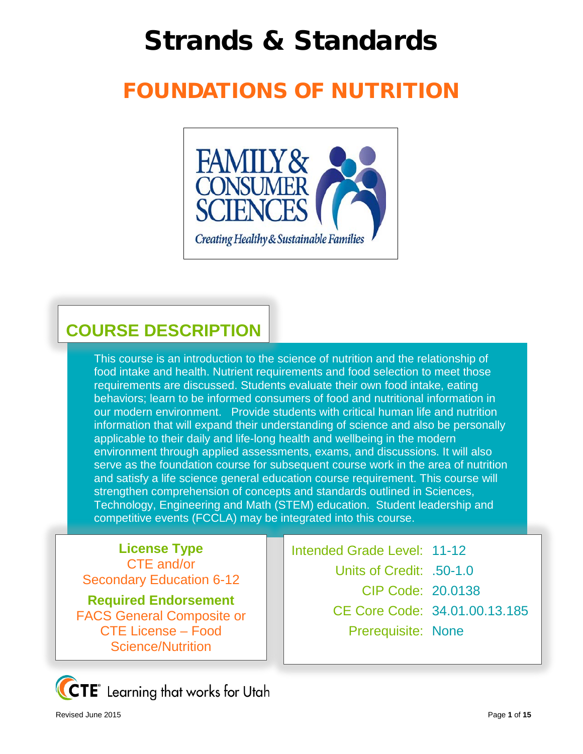# Strands & Standards

# FOUNDATIONS OF NUTRITION



## **COURSE DESCRIPTION**

This course is an introduction to the science of nutrition and the relationship of food intake and health. Nutrient requirements and food selection to meet those requirements are discussed. Students evaluate their own food intake, eating behaviors; learn to be informed consumers of food and nutritional information in our modern environment. Provide students with critical human life and nutrition information that will expand their understanding of science and also be personally applicable to their daily and life-long health and wellbeing in the modern environment through applied assessments, exams, and discussions. It will also serve as the foundation course for subsequent course work in the area of nutrition and satisfy a life science general education course requirement. This course will strengthen comprehension of concepts and standards outlined in Sciences, Technology, Engineering and Math (STEM) education. Student leadership and competitive events (FCCLA) may be integrated into this course.

**License Type** CTE and/or Secondary Education 6-12

**Required Endorsement** FACS General Composite or CTE License – Food Science/Nutrition



Intended Grade Level: 11-12 Units of Credit: .50-1.0 CIP Code: 20.0138 CE Core Code: 34.01.00.13.185 Prerequisite: None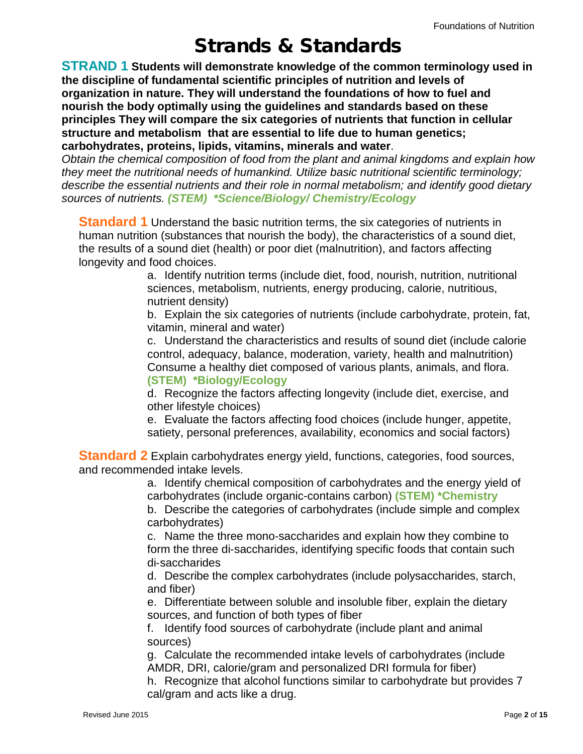### Strands & Standards

**STRAND 1 Students will demonstrate knowledge of the common terminology used in the discipline of fundamental scientific principles of nutrition and levels of organization in nature. They will understand the foundations of how to fuel and nourish the body optimally using the guidelines and standards based on these principles They will compare the six categories of nutrients that function in cellular structure and metabolism that are essential to life due to human genetics; carbohydrates, proteins, lipids, vitamins, minerals and water**.

*Obtain the chemical composition of food from the plant and animal kingdoms and explain how they meet the nutritional needs of humankind. Utilize basic nutritional scientific terminology; describe the essential nutrients and their role in normal metabolism; and identify good dietary sources of nutrients. (STEM) \*Science/Biology/ Chemistry/Ecology*

**Standard 1** Understand the basic nutrition terms, the six categories of nutrients in human nutrition (substances that nourish the body), the characteristics of a sound diet, the results of a sound diet (health) or poor diet (malnutrition), and factors affecting longevity and food choices.

> a. Identify nutrition terms (include diet, food, nourish, nutrition, nutritional sciences, metabolism, nutrients, energy producing, calorie, nutritious, nutrient density)

b. Explain the six categories of nutrients (include carbohydrate, protein, fat, vitamin, mineral and water)

c. Understand the characteristics and results of sound diet (include calorie control, adequacy, balance, moderation, variety, health and malnutrition) Consume a healthy diet composed of various plants, animals, and flora. **(STEM) \*Biology/Ecology**

d. Recognize the factors affecting longevity (include diet, exercise, and other lifestyle choices)

e. Evaluate the factors affecting food choices (include hunger, appetite, satiety, personal preferences, availability, economics and social factors)

**Standard 2** Explain carbohydrates energy yield, functions, categories, food sources, and recommended intake levels.

> a. Identify chemical composition of carbohydrates and the energy yield of carbohydrates (include organic-contains carbon) **(STEM) \*Chemistry**

> b. Describe the categories of carbohydrates (include simple and complex carbohydrates)

c. Name the three mono‐saccharides and explain how they combine to form the three di-saccharides, identifying specific foods that contain such di‐saccharides

d. Describe the complex carbohydrates (include polysaccharides, starch, and fiber)

e. Differentiate between soluble and insoluble fiber, explain the dietary sources, and function of both types of fiber

f. Identify food sources of carbohydrate (include plant and animal sources)

g. Calculate the recommended intake levels of carbohydrates (include AMDR, DRI, calorie/gram and personalized DRI formula for fiber)

h. Recognize that alcohol functions similar to carbohydrate but provides 7 cal/gram and acts like a drug.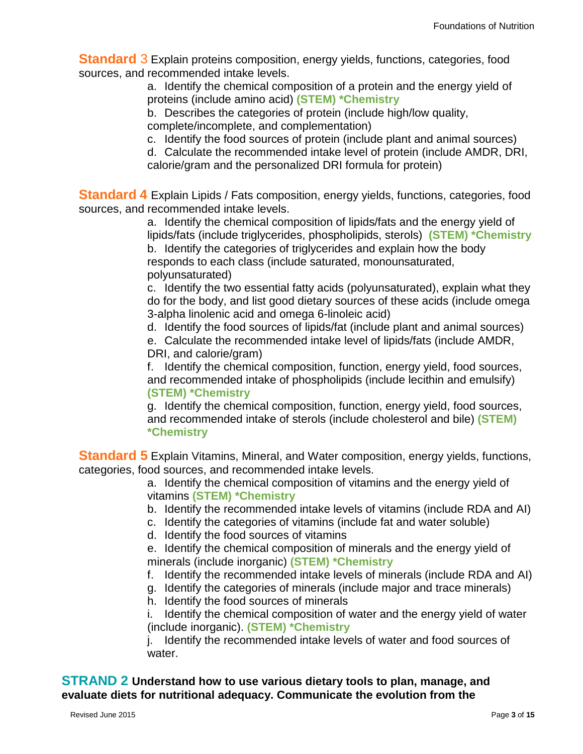**Standard** 3 Explain proteins composition, energy yields, functions, categories, food sources, and recommended intake levels.

> a. Identify the chemical composition of a protein and the energy yield of proteins (include amino acid) **(STEM) \*Chemistry**

b. Describes the categories of protein (include high/low quality, complete/incomplete, and complementation)

c. Identify the food sources of protein (include plant and animal sources)

d. Calculate the recommended intake level of protein (include AMDR, DRI, calorie/gram and the personalized DRI formula for protein)

**Standard 4** Explain Lipids / Fats composition, energy yields, functions, categories, food sources, and recommended intake levels.

> a. Identify the chemical composition of lipids/fats and the energy yield of lipids/fats (include triglycerides, phospholipids, sterols) **(STEM) \*Chemistry** b. Identify the categories of triglycerides and explain how the body responds to each class (include saturated, monounsaturated, polyunsaturated)

> c. Identify the two essential fatty acids (polyunsaturated), explain what they do for the body, and list good dietary sources of these acids (include omega 3-alpha linolenic acid and omega 6-linoleic acid)

d. Identify the food sources of lipids/fat (include plant and animal sources)

e. Calculate the recommended intake level of lipids/fats (include AMDR, DRI, and calorie/gram)

f. Identify the chemical composition, function, energy yield, food sources, and recommended intake of phospholipids (include lecithin and emulsify) **(STEM) \*Chemistry**

g. Identify the chemical composition, function, energy yield, food sources, and recommended intake of sterols (include cholesterol and bile) **(STEM) \*Chemistry**

**Standard 5** Explain Vitamins, Mineral, and Water composition, energy yields, functions, categories, food sources, and recommended intake levels.

> a. Identify the chemical composition of vitamins and the energy yield of vitamins **(STEM) \*Chemistry**

- b. Identify the recommended intake levels of vitamins (include RDA and AI)
- c. Identify the categories of vitamins (include fat and water soluble)
- d. Identify the food sources of vitamins

e. Identify the chemical composition of minerals and the energy yield of minerals (include inorganic) **(STEM) \*Chemistry**

- f. Identify the recommended intake levels of minerals (include RDA and AI)
- g. Identify the categories of minerals (include major and trace minerals)
- h. Identify the food sources of minerals

i. Identify the chemical composition of water and the energy yield of water (include inorganic). **(STEM) \*Chemistry**

j. Identify the recommended intake levels of water and food sources of water.

**STRAND 2 Understand how to use various dietary tools to plan, manage, and evaluate diets for nutritional adequacy. Communicate the evolution from the**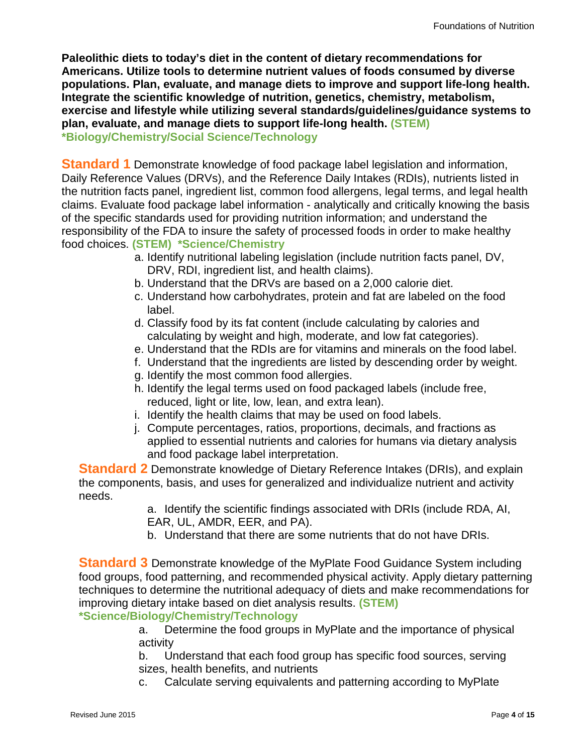**Paleolithic diets to today's diet in the content of dietary recommendations for Americans. Utilize tools to determine nutrient values of foods consumed by diverse populations. Plan, evaluate, and manage diets to improve and support life-long health. Integrate the scientific knowledge of nutrition, genetics, chemistry, metabolism, exercise and lifestyle while utilizing several standards/guidelines/guidance systems to plan, evaluate, and manage diets to support life-long health. (STEM) \*Biology/Chemistry/Social Science/Technology**

**Standard 1** Demonstrate knowledge of food package label legislation and information, Daily Reference Values (DRVs), and the Reference Daily Intakes (RDIs), nutrients listed in the nutrition facts panel, ingredient list, common food allergens, legal terms, and legal health claims. Evaluate food package label information - analytically and critically knowing the basis of the specific standards used for providing nutrition information; and understand the responsibility of the FDA to insure the safety of processed foods in order to make healthy food choices. **(STEM) \*Science/Chemistry**

- a. Identify nutritional labeling legislation (include nutrition facts panel, DV, DRV, RDI, ingredient list, and health claims).
- b. Understand that the DRVs are based on a 2,000 calorie diet.
- c. Understand how carbohydrates, protein and fat are labeled on the food label.
- d. Classify food by its fat content (include calculating by calories and calculating by weight and high, moderate, and low fat categories).
- e. Understand that the RDIs are for vitamins and minerals on the food label.
- f. Understand that the ingredients are listed by descending order by weight.
- g. Identify the most common food allergies.
- h. Identify the legal terms used on food packaged labels (include free, reduced, light or lite, low, lean, and extra lean).
- i. Identify the health claims that may be used on food labels.
- j. Compute percentages, ratios, proportions, decimals, and fractions as applied to essential nutrients and calories for humans via dietary analysis and food package label interpretation.

**Standard 2** Demonstrate knowledge of Dietary Reference Intakes (DRIs), and explain the components, basis, and uses for generalized and individualize nutrient and activity needs.

a. Identify the scientific findings associated with DRIs (include RDA, AI, EAR, UL, AMDR, EER, and PA).

b. Understand that there are some nutrients that do not have DRIs.

**Standard 3** Demonstrate knowledge of the MyPlate Food Guidance System including food groups, food patterning, and recommended physical activity. Apply dietary patterning techniques to determine the nutritional adequacy of diets and make recommendations for improving dietary intake based on diet analysis results. **(STEM)** 

**\*Science/Biology/Chemistry/Technology**

a. Determine the food groups in MyPlate and the importance of physical activity

b. Understand that each food group has specific food sources, serving sizes, health benefits, and nutrients

c. Calculate serving equivalents and patterning according to MyPlate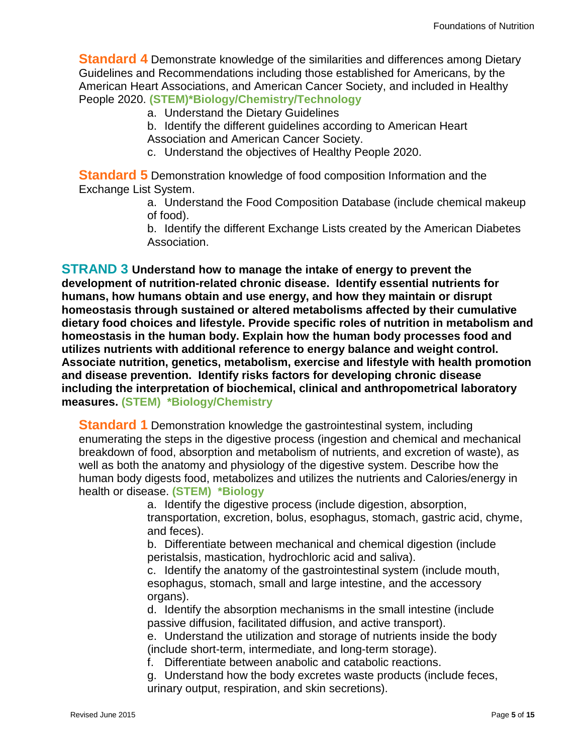**Standard 4** Demonstrate knowledge of the similarities and differences among Dietary Guidelines and Recommendations including those established for Americans, by the American Heart Associations, and American Cancer Society, and included in Healthy People 2020. **(STEM)\*Biology/Chemistry/Technology**

a. Understand the Dietary Guidelines

b. Identify the different guidelines according to American Heart

Association and American Cancer Society.

c. Understand the objectives of Healthy People 2020.

**Standard 5** Demonstration knowledge of food composition Information and the Exchange List System.

> a. Understand the Food Composition Database (include chemical makeup of food).

> b. Identify the different Exchange Lists created by the American Diabetes Association.

**STRAND 3 Understand how to manage the intake of energy to prevent the development of nutrition-related chronic disease. Identify essential nutrients for humans, how humans obtain and use energy, and how they maintain or disrupt homeostasis through sustained or altered metabolisms affected by their cumulative dietary food choices and lifestyle. Provide specific roles of nutrition in metabolism and homeostasis in the human body. Explain how the human body processes food and utilizes nutrients with additional reference to energy balance and weight control. Associate nutrition, genetics, metabolism, exercise and lifestyle with health promotion and disease prevention. Identify risks factors for developing chronic disease including the interpretation of biochemical, clinical and anthropometrical laboratory measures. (STEM) \*Biology/Chemistry**

**Standard 1** Demonstration knowledge the gastrointestinal system, including enumerating the steps in the digestive process (ingestion and chemical and mechanical breakdown of food, absorption and metabolism of nutrients, and excretion of waste), as well as both the anatomy and physiology of the digestive system. Describe how the human body digests food, metabolizes and utilizes the nutrients and Calories/energy in health or disease. **(STEM) \*Biology**

> a. Identify the digestive process (include digestion, absorption, transportation, excretion, bolus, esophagus, stomach, gastric acid, chyme, and feces).

b. Differentiate between mechanical and chemical digestion (include peristalsis, mastication, hydrochloric acid and saliva).

c. Identify the anatomy of the gastrointestinal system (include mouth, esophagus, stomach, small and large intestine, and the accessory organs).

d. Identify the absorption mechanisms in the small intestine (include passive diffusion, facilitated diffusion, and active transport).

e. Understand the utilization and storage of nutrients inside the body (include short-term, intermediate, and long-term storage).

f. Differentiate between anabolic and catabolic reactions.

g. Understand how the body excretes waste products (include feces, urinary output, respiration, and skin secretions).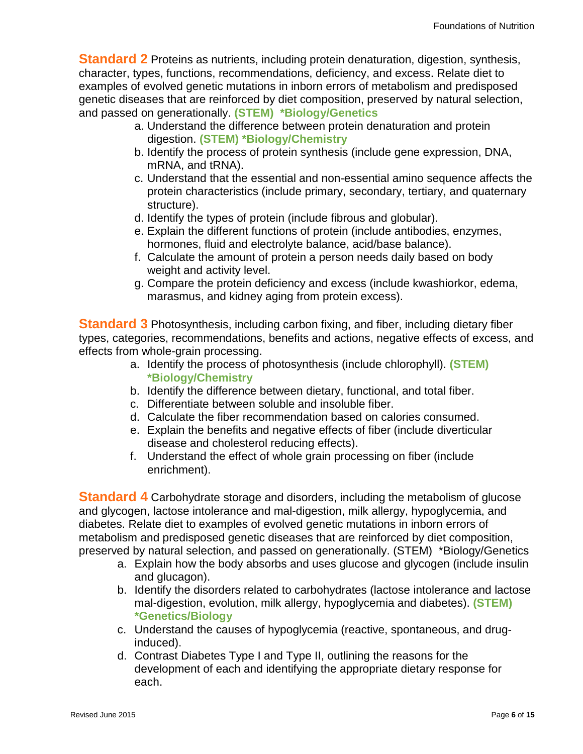**Standard 2** Proteins as nutrients, including protein denaturation, digestion, synthesis, character, types, functions, recommendations, deficiency, and excess. Relate diet to examples of evolved genetic mutations in inborn errors of metabolism and predisposed genetic diseases that are reinforced by diet composition, preserved by natural selection, and passed on generationally. **(STEM) \*Biology/Genetics**

- a. Understand the difference between protein denaturation and protein digestion. **(STEM) \*Biology/Chemistry**
- b. Identify the process of protein synthesis (include gene expression, DNA, mRNA, and tRNA).
- c. Understand that the essential and non-essential amino sequence affects the protein characteristics (include primary, secondary, tertiary, and quaternary structure).
- d. Identify the types of protein (include fibrous and globular).
- e. Explain the different functions of protein (include antibodies, enzymes, hormones, fluid and electrolyte balance, acid/base balance).
- f. Calculate the amount of protein a person needs daily based on body weight and activity level.
- g. Compare the protein deficiency and excess (include kwashiorkor, edema, marasmus, and kidney aging from protein excess).

**Standard 3** Photosynthesis, including carbon fixing, and fiber, including dietary fiber types, categories, recommendations, benefits and actions, negative effects of excess, and effects from whole-grain processing.

- a. Identify the process of photosynthesis (include chlorophyll). **(STEM) \*Biology/Chemistry**
- b. Identify the difference between dietary, functional, and total fiber.
- c. Differentiate between soluble and insoluble fiber.
- d. Calculate the fiber recommendation based on calories consumed.
- e. Explain the benefits and negative effects of fiber (include diverticular disease and cholesterol reducing effects).
- f. Understand the effect of whole grain processing on fiber (include enrichment).

**Standard 4** Carbohydrate storage and disorders, including the metabolism of glucose and glycogen, lactose intolerance and mal-digestion, milk allergy, hypoglycemia, and diabetes. Relate diet to examples of evolved genetic mutations in inborn errors of metabolism and predisposed genetic diseases that are reinforced by diet composition, preserved by natural selection, and passed on generationally. (STEM) \*Biology/Genetics

- a. Explain how the body absorbs and uses glucose and glycogen (include insulin and glucagon).
- b. Identify the disorders related to carbohydrates (lactose intolerance and lactose mal-digestion, evolution, milk allergy, hypoglycemia and diabetes). **(STEM) \*Genetics/Biology**
- c. Understand the causes of hypoglycemia (reactive, spontaneous, and druginduced).
- d. Contrast Diabetes Type I and Type II, outlining the reasons for the development of each and identifying the appropriate dietary response for each.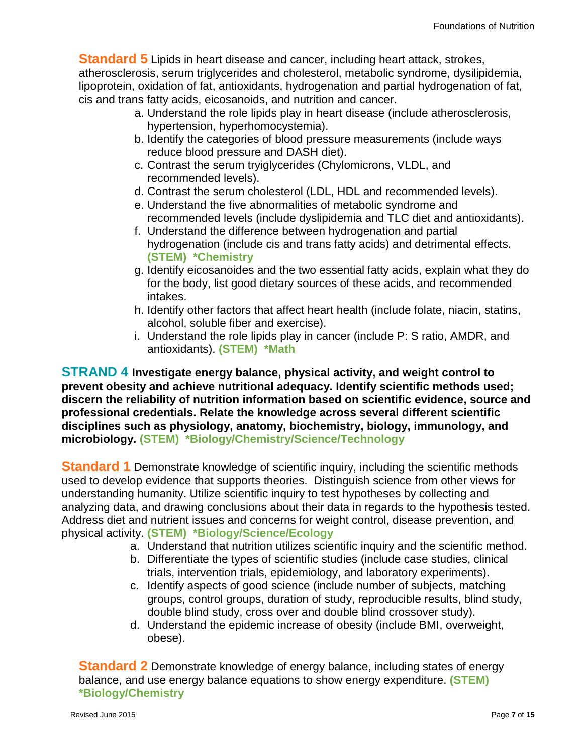**Standard 5** Lipids in heart disease and cancer, including heart attack, strokes, atherosclerosis, serum triglycerides and cholesterol, metabolic syndrome, dysilipidemia, lipoprotein, oxidation of fat, antioxidants, hydrogenation and partial hydrogenation of fat, cis and trans fatty acids, eicosanoids, and nutrition and cancer.

- a. Understand the role lipids play in heart disease (include atherosclerosis, hypertension, hyperhomocystemia).
- b. Identify the categories of blood pressure measurements (include ways reduce blood pressure and DASH diet).
- c. Contrast the serum tryiglycerides (Chylomicrons, VLDL, and recommended levels).
- d. Contrast the serum cholesterol (LDL, HDL and recommended levels).
- e. Understand the five abnormalities of metabolic syndrome and recommended levels (include dyslipidemia and TLC diet and antioxidants).
- f. Understand the difference between hydrogenation and partial hydrogenation (include cis and trans fatty acids) and detrimental effects. **(STEM) \*Chemistry**
- g. Identify eicosanoides and the two essential fatty acids, explain what they do for the body, list good dietary sources of these acids, and recommended intakes.
- h. Identify other factors that affect heart health (include folate, niacin, statins, alcohol, soluble fiber and exercise).
- i. Understand the role lipids play in cancer (include P: S ratio, AMDR, and antioxidants). **(STEM) \*Math**

**STRAND 4 Investigate energy balance, physical activity, and weight control to prevent obesity and achieve nutritional adequacy. Identify scientific methods used; discern the reliability of nutrition information based on scientific evidence, source and professional credentials. Relate the knowledge across several different scientific disciplines such as physiology, anatomy, biochemistry, biology, immunology, and microbiology. (STEM) \*Biology/Chemistry/Science/Technology**

**Standard 1** Demonstrate knowledge of scientific inquiry, including the scientific methods used to develop evidence that supports theories. Distinguish science from other views for understanding humanity. Utilize scientific inquiry to test hypotheses by collecting and analyzing data, and drawing conclusions about their data in regards to the hypothesis tested. Address diet and nutrient issues and concerns for weight control, disease prevention, and physical activity. **(STEM) \*Biology/Science/Ecology**

- a. Understand that nutrition utilizes scientific inquiry and the scientific method.
- b. Differentiate the types of scientific studies (include case studies, clinical trials, intervention trials, epidemiology, and laboratory experiments).
- c. Identify aspects of good science (include number of subjects, matching groups, control groups, duration of study, reproducible results, blind study, double blind study, cross over and double blind crossover study).
- d. Understand the epidemic increase of obesity (include BMI, overweight, obese).

**Standard 2** Demonstrate knowledge of energy balance, including states of energy balance, and use energy balance equations to show energy expenditure. **(STEM) \*Biology/Chemistry**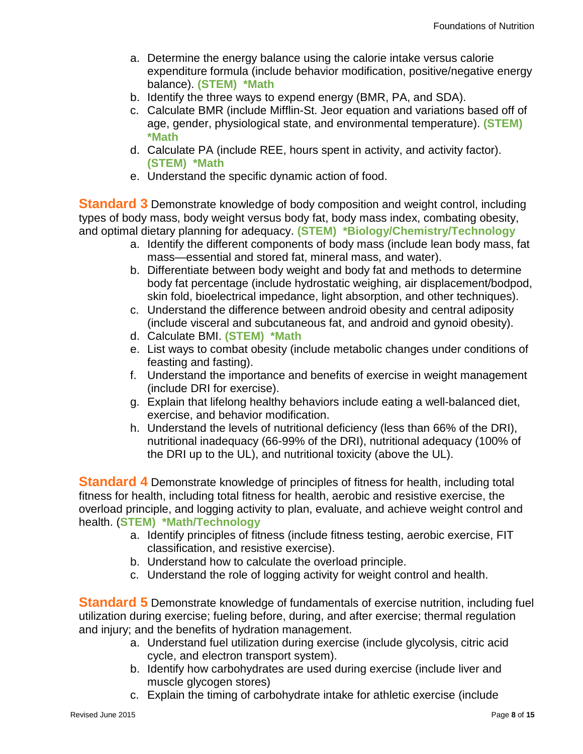- a. Determine the energy balance using the calorie intake versus calorie expenditure formula (include behavior modification, positive/negative energy balance). **(STEM) \*Math**
- b. Identify the three ways to expend energy (BMR, PA, and SDA).
- c. Calculate BMR (include Mifflin-St. Jeor equation and variations based off of age, gender, physiological state, and environmental temperature). **(STEM) \*Math**
- d. Calculate PA (include REE, hours spent in activity, and activity factor). **(STEM) \*Math**
- e. Understand the specific dynamic action of food.

**Standard 3** Demonstrate knowledge of body composition and weight control, including types of body mass, body weight versus body fat, body mass index, combating obesity, and optimal dietary planning for adequacy. **(STEM) \*Biology/Chemistry/Technology**

- a. Identify the different components of body mass (include lean body mass, fat mass—essential and stored fat, mineral mass, and water).
- b. Differentiate between body weight and body fat and methods to determine body fat percentage (include hydrostatic weighing, air displacement/bodpod, skin fold, bioelectrical impedance, light absorption, and other techniques).
- c. Understand the difference between android obesity and central adiposity (include visceral and subcutaneous fat, and android and gynoid obesity).
- d. Calculate BMI. **(STEM) \*Math**
- e. List ways to combat obesity (include metabolic changes under conditions of feasting and fasting).
- f. Understand the importance and benefits of exercise in weight management (include DRI for exercise).
- g. Explain that lifelong healthy behaviors include eating a well-balanced diet, exercise, and behavior modification.
- h. Understand the levels of nutritional deficiency (less than 66% of the DRI), nutritional inadequacy (66-99% of the DRI), nutritional adequacy (100% of the DRI up to the UL), and nutritional toxicity (above the UL).

**Standard 4** Demonstrate knowledge of principles of fitness for health, including total fitness for health, including total fitness for health, aerobic and resistive exercise, the overload principle, and logging activity to plan, evaluate, and achieve weight control and health. (**STEM) \*Math/Technology**

- a. Identify principles of fitness (include fitness testing, aerobic exercise, FIT classification, and resistive exercise).
- b. Understand how to calculate the overload principle.
- c. Understand the role of logging activity for weight control and health.

**Standard 5** Demonstrate knowledge of fundamentals of exercise nutrition, including fuel utilization during exercise; fueling before, during, and after exercise; thermal regulation and injury; and the benefits of hydration management.

- a. Understand fuel utilization during exercise (include glycolysis, citric acid cycle, and electron transport system).
- b. Identify how carbohydrates are used during exercise (include liver and muscle glycogen stores)
- c. Explain the timing of carbohydrate intake for athletic exercise (include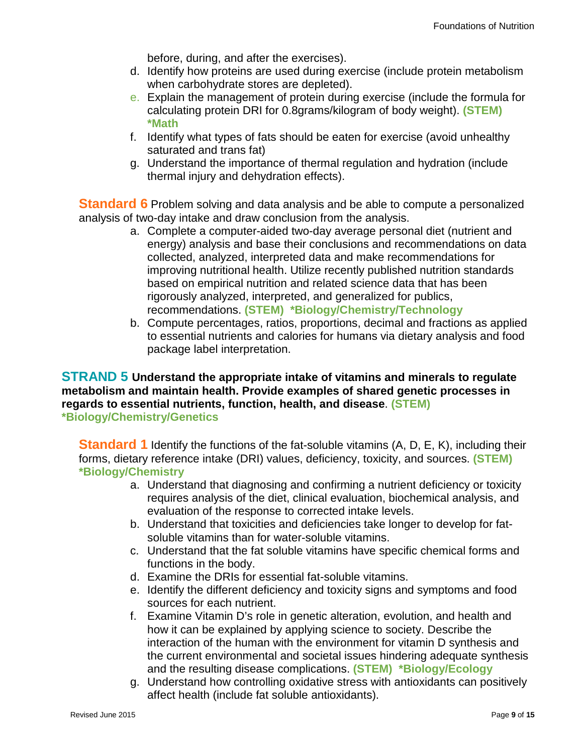before, during, and after the exercises).

- d. Identify how proteins are used during exercise (include protein metabolism when carbohydrate stores are depleted).
- e. Explain the management of protein during exercise (include the formula for calculating protein DRI for 0.8grams/kilogram of body weight). **(STEM) \*Math**
- f. Identify what types of fats should be eaten for exercise (avoid unhealthy saturated and trans fat)
- g. Understand the importance of thermal regulation and hydration (include thermal injury and dehydration effects).

**Standard 6** Problem solving and data analysis and be able to compute a personalized analysis of two-day intake and draw conclusion from the analysis.

- a. Complete a computer-aided two-day average personal diet (nutrient and energy) analysis and base their conclusions and recommendations on data collected, analyzed, interpreted data and make recommendations for improving nutritional health. Utilize recently published nutrition standards based on empirical nutrition and related science data that has been rigorously analyzed, interpreted, and generalized for publics, recommendations. **(STEM) \*Biology/Chemistry/Technology**
- b. Compute percentages, ratios, proportions, decimal and fractions as applied to essential nutrients and calories for humans via dietary analysis and food package label interpretation.

**STRAND 5 Understand the appropriate intake of vitamins and minerals to regulate metabolism and maintain health. Provide examples of shared genetic processes in regards to essential nutrients, function, health, and disease**. **(STEM) \*Biology/Chemistry/Genetics**

**Standard 1** Identify the functions of the fat-soluble vitamins (A, D, E, K), including their forms, dietary reference intake (DRI) values, deficiency, toxicity, and sources. **(STEM) \*Biology/Chemistry**

- a. Understand that diagnosing and confirming a nutrient deficiency or toxicity requires analysis of the diet, clinical evaluation, biochemical analysis, and evaluation of the response to corrected intake levels.
- b. Understand that toxicities and deficiencies take longer to develop for fatsoluble vitamins than for water-soluble vitamins.
- c. Understand that the fat soluble vitamins have specific chemical forms and functions in the body.
- d. Examine the DRIs for essential fat-soluble vitamins.
- e. Identify the different deficiency and toxicity signs and symptoms and food sources for each nutrient.
- f. Examine Vitamin D's role in genetic alteration, evolution, and health and how it can be explained by applying science to society. Describe the interaction of the human with the environment for vitamin D synthesis and the current environmental and societal issues hindering adequate synthesis and the resulting disease complications. **(STEM) \*Biology/Ecology**
- g. Understand how controlling oxidative stress with antioxidants can positively affect health (include fat soluble antioxidants).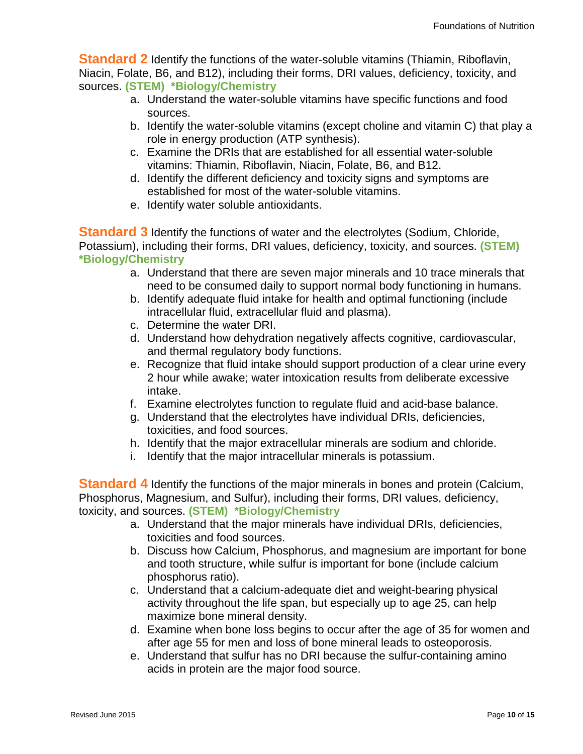**Standard 2** Identify the functions of the water-soluble vitamins (Thiamin, Riboflavin, Niacin, Folate, B6, and B12), including their forms, DRI values, deficiency, toxicity, and sources. **(STEM) \*Biology/Chemistry**

- a. Understand the water-soluble vitamins have specific functions and food sources.
- b. Identify the water-soluble vitamins (except choline and vitamin C) that play a role in energy production (ATP synthesis).
- c. Examine the DRIs that are established for all essential water-soluble vitamins: Thiamin, Riboflavin, Niacin, Folate, B6, and B12.
- d. Identify the different deficiency and toxicity signs and symptoms are established for most of the water-soluble vitamins.
- e. Identify water soluble antioxidants.

**Standard 3** Identify the functions of water and the electrolytes (Sodium, Chloride, Potassium), including their forms, DRI values, deficiency, toxicity, and sources. **(STEM) \*Biology/Chemistry**

- a. Understand that there are seven major minerals and 10 trace minerals that need to be consumed daily to support normal body functioning in humans.
- b. Identify adequate fluid intake for health and optimal functioning (include intracellular fluid, extracellular fluid and plasma).
- c. Determine the water DRI.
- d. Understand how dehydration negatively affects cognitive, cardiovascular, and thermal regulatory body functions.
- e. Recognize that fluid intake should support production of a clear urine every 2 hour while awake; water intoxication results from deliberate excessive intake.
- f. Examine electrolytes function to regulate fluid and acid-base balance.
- g. Understand that the electrolytes have individual DRIs, deficiencies, toxicities, and food sources.
- h. Identify that the major extracellular minerals are sodium and chloride.
- i. Identify that the major intracellular minerals is potassium.

**Standard 4** Identify the functions of the major minerals in bones and protein (Calcium, Phosphorus, Magnesium, and Sulfur), including their forms, DRI values, deficiency, toxicity, and sources. **(STEM) \*Biology/Chemistry**

- a. Understand that the major minerals have individual DRIs, deficiencies, toxicities and food sources.
- b. Discuss how Calcium, Phosphorus, and magnesium are important for bone and tooth structure, while sulfur is important for bone (include calcium phosphorus ratio).
- c. Understand that a calcium-adequate diet and weight-bearing physical activity throughout the life span, but especially up to age 25, can help maximize bone mineral density.
- d. Examine when bone loss begins to occur after the age of 35 for women and after age 55 for men and loss of bone mineral leads to osteoporosis.
- e. Understand that sulfur has no DRI because the sulfur-containing amino acids in protein are the major food source.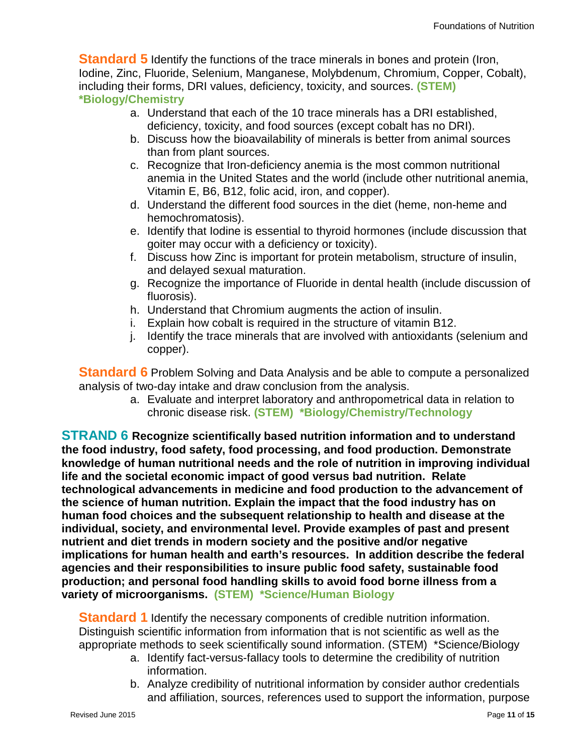**Standard 5** Identify the functions of the trace minerals in bones and protein (Iron, Iodine, Zinc, Fluoride, Selenium, Manganese, Molybdenum, Chromium, Copper, Cobalt), including their forms, DRI values, deficiency, toxicity, and sources. **(STEM) \*Biology/Chemistry**

- a. Understand that each of the 10 trace minerals has a DRI established, deficiency, toxicity, and food sources (except cobalt has no DRI).
- b. Discuss how the bioavailability of minerals is better from animal sources than from plant sources.
- c. Recognize that Iron-deficiency anemia is the most common nutritional anemia in the United States and the world (include other nutritional anemia, Vitamin E, B6, B12, folic acid, iron, and copper).
- d. Understand the different food sources in the diet (heme, non-heme and hemochromatosis).
- e. Identify that Iodine is essential to thyroid hormones (include discussion that goiter may occur with a deficiency or toxicity).
- f. Discuss how Zinc is important for protein metabolism, structure of insulin, and delayed sexual maturation.
- g. Recognize the importance of Fluoride in dental health (include discussion of fluorosis).
- h. Understand that Chromium augments the action of insulin.
- i. Explain how cobalt is required in the structure of vitamin B12.
- j. Identify the trace minerals that are involved with antioxidants (selenium and copper).

**Standard 6** Problem Solving and Data Analysis and be able to compute a personalized analysis of two-day intake and draw conclusion from the analysis.

a. Evaluate and interpret laboratory and anthropometrical data in relation to chronic disease risk. **(STEM) \*Biology/Chemistry/Technology**

**STRAND 6 Recognize scientifically based nutrition information and to understand the food industry, food safety, food processing, and food production. Demonstrate knowledge of human nutritional needs and the role of nutrition in improving individual life and the societal economic impact of good versus bad nutrition. Relate technological advancements in medicine and food production to the advancement of the science of human nutrition. Explain the impact that the food industry has on human food choices and the subsequent relationship to health and disease at the individual, society, and environmental level. Provide examples of past and present nutrient and diet trends in modern society and the positive and/or negative implications for human health and earth's resources. In addition describe the federal agencies and their responsibilities to insure public food safety, sustainable food production; and personal food handling skills to avoid food borne illness from a variety of microorganisms. (STEM) \*Science/Human Biology**

**Standard 1** Identify the necessary components of credible nutrition information. Distinguish scientific information from information that is not scientific as well as the appropriate methods to seek scientifically sound information. (STEM) \*Science/Biology

- a. Identify fact-versus-fallacy tools to determine the credibility of nutrition information.
- b. Analyze credibility of nutritional information by consider author credentials and affiliation, sources, references used to support the information, purpose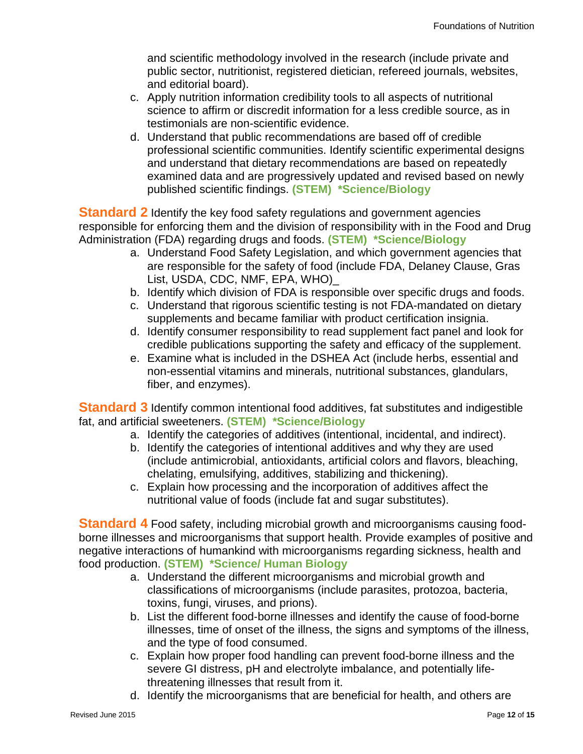and scientific methodology involved in the research (include private and public sector, nutritionist, registered dietician, refereed journals, websites, and editorial board).

- c. Apply nutrition information credibility tools to all aspects of nutritional science to affirm or discredit information for a less credible source, as in testimonials are non-scientific evidence.
- d. Understand that public recommendations are based off of credible professional scientific communities. Identify scientific experimental designs and understand that dietary recommendations are based on repeatedly examined data and are progressively updated and revised based on newly published scientific findings. **(STEM) \*Science/Biology**

**Standard 2** Identify the key food safety regulations and government agencies responsible for enforcing them and the division of responsibility with in the Food and Drug Administration (FDA) regarding drugs and foods. **(STEM) \*Science/Biology**

- a. Understand Food Safety Legislation, and which government agencies that are responsible for the safety of food (include FDA, Delaney Clause, Gras List, USDA, CDC, NMF, EPA, WHO)\_
- b. Identify which division of FDA is responsible over specific drugs and foods.
- c. Understand that rigorous scientific testing is not FDA-mandated on dietary supplements and became familiar with product certification insignia.
- d. Identify consumer responsibility to read supplement fact panel and look for credible publications supporting the safety and efficacy of the supplement.
- e. Examine what is included in the DSHEA Act (include herbs, essential and non-essential vitamins and minerals, nutritional substances, glandulars, fiber, and enzymes).

**Standard 3** Identify common intentional food additives, fat substitutes and indigestible fat, and artificial sweeteners. **(STEM) \*Science/Biology**

- a. Identify the categories of additives (intentional, incidental, and indirect).
- b. Identify the categories of intentional additives and why they are used (include antimicrobial, antioxidants, artificial colors and flavors, bleaching, chelating, emulsifying, additives, stabilizing and thickening).
- c. Explain how processing and the incorporation of additives affect the nutritional value of foods (include fat and sugar substitutes).

**Standard 4** Food safety, including microbial growth and microorganisms causing foodborne illnesses and microorganisms that support health. Provide examples of positive and negative interactions of humankind with microorganisms regarding sickness, health and food production. **(STEM) \*Science/ Human Biology**

- a. Understand the different microorganisms and microbial growth and classifications of microorganisms (include parasites, protozoa, bacteria, toxins, fungi, viruses, and prions).
- b. List the different food‐borne illnesses and identify the cause of food-borne illnesses, time of onset of the illness, the signs and symptoms of the illness, and the type of food consumed.
- c. Explain how proper food handling can prevent food-borne illness and the severe GI distress, pH and electrolyte imbalance, and potentially lifethreatening illnesses that result from it.
- d. Identify the microorganisms that are beneficial for health, and others are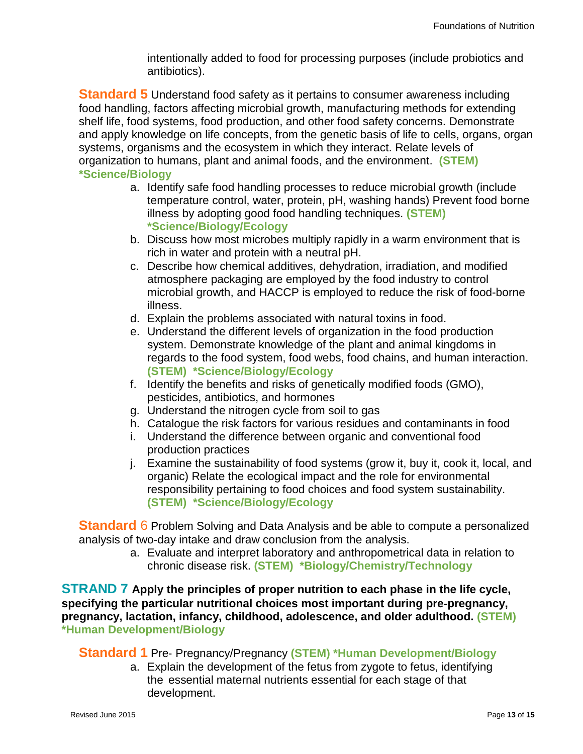intentionally added to food for processing purposes (include probiotics and antibiotics).

**Standard 5** Understand food safety as it pertains to consumer awareness including food handling, factors affecting microbial growth, manufacturing methods for extending shelf life, food systems, food production, and other food safety concerns. Demonstrate and apply knowledge on life concepts, from the genetic basis of life to cells, organs, organ systems, organisms and the ecosystem in which they interact. Relate levels of organization to humans, plant and animal foods, and the environment. **(STEM) \*Science/Biology**

- a. Identify safe food handling processes to reduce microbial growth (include temperature control, water, protein, pH, washing hands) Prevent food borne illness by adopting good food handling techniques. **(STEM) \*Science/Biology/Ecology**
- b. Discuss how most microbes multiply rapidly in a warm environment that is rich in water and protein with a neutral pH.
- c. Describe how chemical additives, dehydration, irradiation, and modified atmosphere packaging are employed by the food industry to control microbial growth, and HACCP is employed to reduce the risk of food-borne illness.
- d. Explain the problems associated with natural toxins in food.
- e. Understand the different levels of organization in the food production system. Demonstrate knowledge of the plant and animal kingdoms in regards to the food system, food webs, food chains, and human interaction. **(STEM) \*Science/Biology/Ecology**
- f. Identify the benefits and risks of genetically modified foods (GMO), pesticides, antibiotics, and hormones
- g. Understand the nitrogen cycle from soil to gas
- h. Catalogue the risk factors for various residues and contaminants in food
- i. Understand the difference between organic and conventional food production practices
- j. Examine the sustainability of food systems (grow it, buy it, cook it, local, and organic) Relate the ecological impact and the role for environmental responsibility pertaining to food choices and food system sustainability. **(STEM) \*Science/Biology/Ecology**

**Standard** 6 Problem Solving and Data Analysis and be able to compute a personalized analysis of two-day intake and draw conclusion from the analysis.

> a. Evaluate and interpret laboratory and anthropometrical data in relation to chronic disease risk. **(STEM) \*Biology/Chemistry/Technology**

**STRAND 7 Apply the principles of proper nutrition to each phase in the life cycle, specifying the particular nutritional choices most important during pre**‐**pregnancy, pregnancy, lactation, infancy, childhood, adolescence, and older adulthood. (STEM) \*Human Development/Biology**

#### **Standard 1** Pre‐ Pregnancy/Pregnancy **(STEM) \*Human Development/Biology**

a. Explain the development of the fetus from zygote to fetus, identifying the essential maternal nutrients essential for each stage of that development.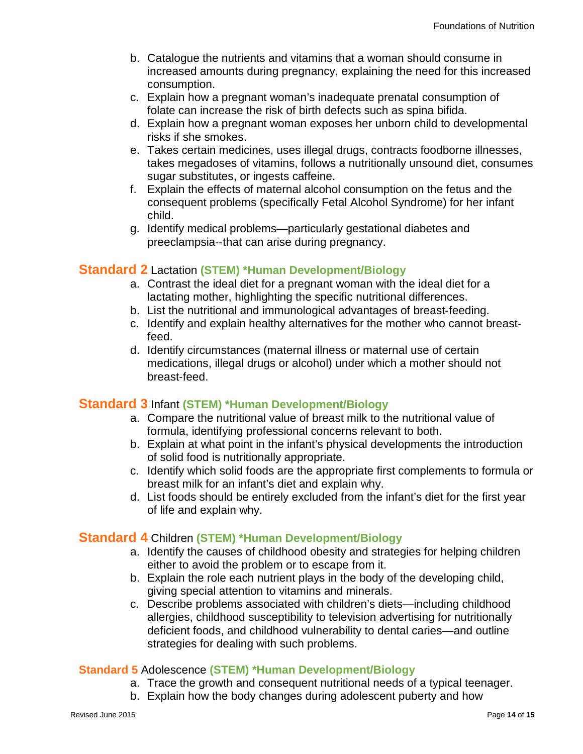- b. Catalogue the nutrients and vitamins that a woman should consume in increased amounts during pregnancy, explaining the need for this increased consumption.
- c. Explain how a pregnant woman's inadequate prenatal consumption of folate can increase the risk of birth defects such as spina bifida.
- d. Explain how a pregnant woman exposes her unborn child to developmental risks if she smokes.
- e. Takes certain medicines, uses illegal drugs, contracts foodborne illnesses, takes megadoses of vitamins, follows a nutritionally unsound diet, consumes sugar substitutes, or ingests caffeine.
- f. Explain the effects of maternal alcohol consumption on the fetus and the consequent problems (specifically Fetal Alcohol Syndrome) for her infant child.
- g. Identify medical problems—particularly gestational diabetes and preeclampsia‐‐that can arise during pregnancy.

#### **Standard 2** Lactation **(STEM) \*Human Development/Biology**

- a. Contrast the ideal diet for a pregnant woman with the ideal diet for a lactating mother, highlighting the specific nutritional differences.
- b. List the nutritional and immunological advantages of breast‐feeding.
- c. Identify and explain healthy alternatives for the mother who cannot breast‐ feed.
- d. Identify circumstances (maternal illness or maternal use of certain medications, illegal drugs or alcohol) under which a mother should not breast‐feed.

#### **Standard 3** Infant **(STEM) \*Human Development/Biology**

- a. Compare the nutritional value of breast milk to the nutritional value of formula, identifying professional concerns relevant to both.
- b. Explain at what point in the infant's physical developments the introduction of solid food is nutritionally appropriate.
- c. Identify which solid foods are the appropriate first complements to formula or breast milk for an infant's diet and explain why.
- d. List foods should be entirely excluded from the infant's diet for the first year of life and explain why.

#### **Standard 4** Children **(STEM) \*Human Development/Biology**

- a. Identify the causes of childhood obesity and strategies for helping children either to avoid the problem or to escape from it.
- b. Explain the role each nutrient plays in the body of the developing child, giving special attention to vitamins and minerals.
- c. Describe problems associated with children's diets—including childhood allergies, childhood susceptibility to television advertising for nutritionally deficient foods, and childhood vulnerability to dental caries—and outline strategies for dealing with such problems.

#### **Standard 5** Adolescence **(STEM) \*Human Development/Biology**

- a. Trace the growth and consequent nutritional needs of a typical teenager.
- b. Explain how the body changes during adolescent puberty and how